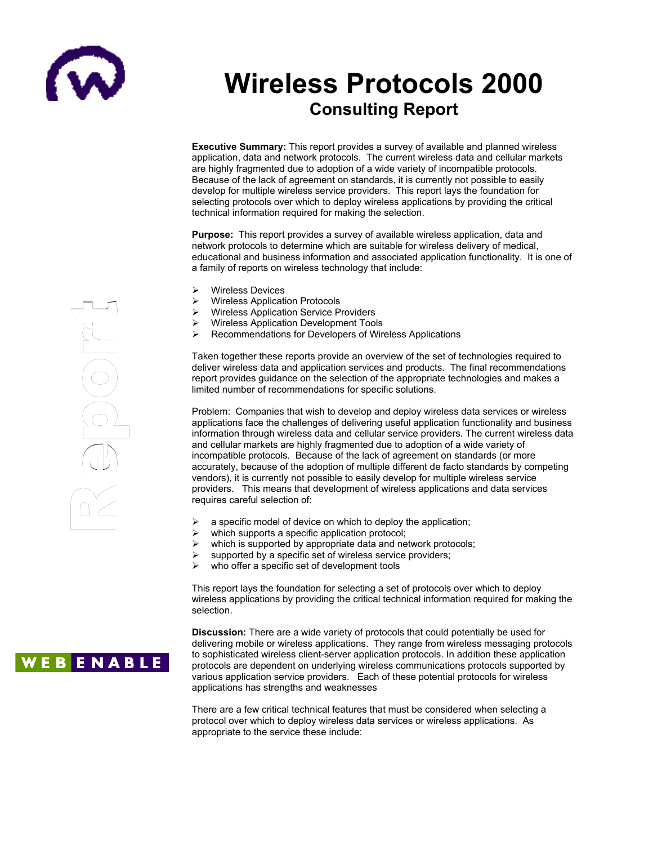

# **Wireless Protocols 2000 Consulting Report**

**Executive Summary:** This report provides a survey of available and planned wireless application, data and network protocols. The current wireless data and cellular markets are highly fragmented due to adoption of a wide variety of incompatible protocols. Because of the lack of agreement on standards, it is currently not possible to easily develop for multiple wireless service providers. This report lays the foundation for selecting protocols over which to deploy wireless applications by providing the critical technical information required for making the selection.

**Purpose:** This report provides a survey of available wireless application, data and network protocols to determine which are suitable for wireless delivery of medical, educational and business information and associated application functionality. It is a family of reports on wireless technology that inclu educational and business information and associated application functionality. It is one of a family of reports on wireless technology that include: g

- Wireless Devices  $\blacktriangleright$
- Wireless Application Protocols  $\rightarrow$ 
	- Wireless Application Service Providers  $\blacktriangleright$
- Wireless Application Development Tools  $\lambda$   $\lambda$   $\lambda$
- **EXECOMMENT ATTE:** Recommendations for Developers of Wireless Applications rr

Taken together these reports provide an overview of the set of technologies required to raken together these reports provide an overview of the set of technologies required to<br>deliver wireless data and application services and products. The final recommendations report provides guidance on the selection of the appropriate technologies and makes a limited number of recommendations for specific solutions. the company the contract of the contract of the contract of the contract of the contract of the contract of the contract of the contract of the contract of the contract of the contract of the contract of the contract of the contract o

Problem: Companies that wish to develop and deploy wireless data services or wireless applications face the challenges of delivering useful application functionality and business information through wireless data and cellular service providers. The current wireless data and cellular markets are highly fragmented due to adoption of a wide variety of incompatible protocols. Because of the lack of agreement on standards (or more accurately, because of the adoption of multiple different de facto standards by competing vendors), it is currently not possible to easily develop for multiple wireless service providers. This means that development of wireless applications and data services requires careful selection of:

- $\triangleright$  a specific model of device on which to deploy the application;
- $\triangleright$  which supports a specific application protocol;
- which is supported by appropriate data and network protocols;
- supported by a specific set of wireless service providers;
- $\triangleright$  who offer a specific set of development tools

This report lays the foundation for selecting a set of protocols over which to deploy wireless applications by providing the critical technical information required for making the selection.

**Discussion:** There are a wide variety of protocols that could potentially be used for delivering mobile or wireless applications. They range from wireless messaging protocols to sophisticated wireless client-server application protocols. In addition these application protocols are dependent on underlying wireless communications protocols supported by various application service providers. Each of these potential protocols for wireless applications has strengths and weaknesses

There are a few critical technical features that must be considered when selecting a protocol over which to deploy wireless data services or wireless applications. As appropriate to the service these include:

 $\begin{picture}(120,15) \put(0,0){\line(1,0){155}} \put(15,0){\line(1,0){155}} \put(15,0){\line(1,0){155}} \put(15,0){\line(1,0){155}} \put(15,0){\line(1,0){155}} \put(15,0){\line(1,0){155}} \put(15,0){\line(1,0){155}} \put(15,0){\line(1,0){155}} \put(15,0){\line(1,0){155}} \put(15,0){\line(1,0){155}} \put(15,0){\line(1,0){155}}$ e $\Omega$ or $\begin{pmatrix} -1 & 0 \\ 1 & 0 \end{pmatrix}$ Red (1) or $\begin{pmatrix} -1 & 0 \\ 1 & 0 \end{pmatrix}$ 

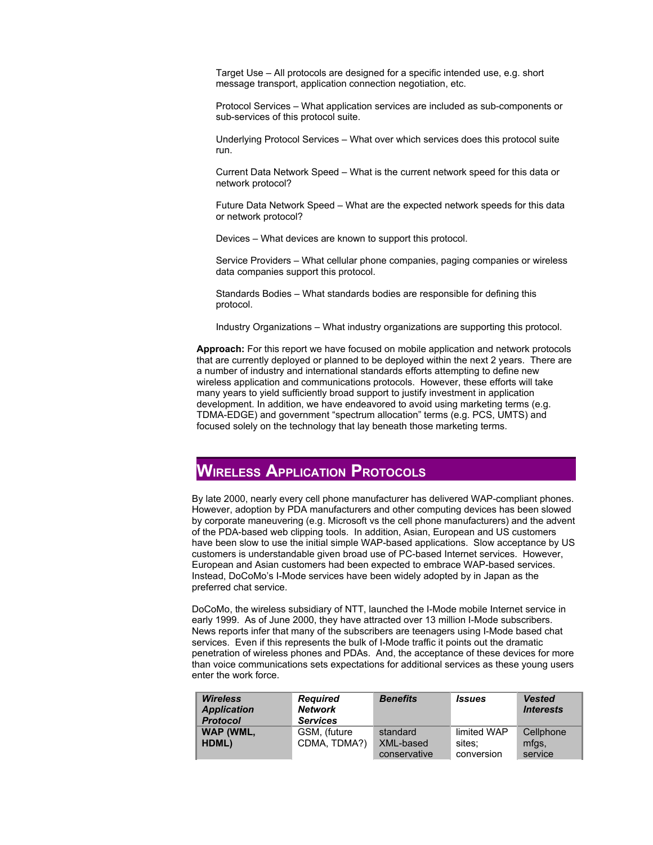Target Use – All protocols are designed for a specific intended use, e.g. short message transport, application connection negotiation, etc.

Protocol Services – What application services are included as sub-components or sub-services of this protocol suite.

Underlying Protocol Services – What over which services does this protocol suite run.

Current Data Network Speed – What is the current network speed for this data or network protocol?

Future Data Network Speed – What are the expected network speeds for this data or network protocol?

Devices – What devices are known to support this protocol.

Service Providers – What cellular phone companies, paging companies or wireless data companies support this protocol.

Standards Bodies – What standards bodies are responsible for defining this protocol.

Industry Organizations – What industry organizations are supporting this protocol.

**Approach:** For this report we have focused on mobile application and network protocols that are currently deployed or planned to be deployed within the next 2 years. There are a number of industry and international standards efforts attempting to define new wireless application and communications protocols. However, these efforts will take many years to yield sufficiently broad support to justify investment in application development. In addition, we have endeavored to avoid using marketing terms (e.g. TDMA-EDGE) and government "spectrum allocation" terms (e.g. PCS, UMTS) and focused solely on the technology that lay beneath those marketing terms.

### **WIRELESS APPLICATION PROTOCOLS**

By late 2000, nearly every cell phone manufacturer has delivered WAP-compliant phones. However, adoption by PDA manufacturers and other computing devices has been slowed by corporate maneuvering (e.g. Microsoft vs the cell phone manufacturers) and the advent of the PDA-based web clipping tools. In addition, Asian, European and US customers have been slow to use the initial simple WAP-based applications. Slow acceptance by US customers is understandable given broad use of PC-based Internet services. However, European and Asian customers had been expected to embrace WAP-based services. Instead, DoCoMo's I-Mode services have been widely adopted by in Japan as the preferred chat service.

DoCoMo, the wireless subsidiary of NTT, launched the I-Mode mobile Internet service in early 1999. As of June 2000, they have attracted over 13 million I-Mode subscribers. News reports infer that many of the subscribers are teenagers using I-Mode based chat services. Even if this represents the bulk of I-Mode traffic it points out the dramatic penetration of wireless phones and PDAs. And, the acceptance of these devices for more than voice communications sets expectations for additional services as these young users enter the work force.

| <b>Wireless</b><br><b>Application</b><br><b>Protocol</b> | <b>Required</b><br><b>Network</b><br><b>Services</b> | <b>Benefits</b> | <b>Issues</b> | <b>Vested</b><br><b>Interests</b> |
|----------------------------------------------------------|------------------------------------------------------|-----------------|---------------|-----------------------------------|
| WAP (WML,                                                | GSM, (future                                         | standard        | limited WAP   | Cellphone                         |
| HDML)                                                    | CDMA, TDMA?)                                         | XML-based       | sites:        | mfgs.                             |
|                                                          |                                                      | conservative    | conversion    | service                           |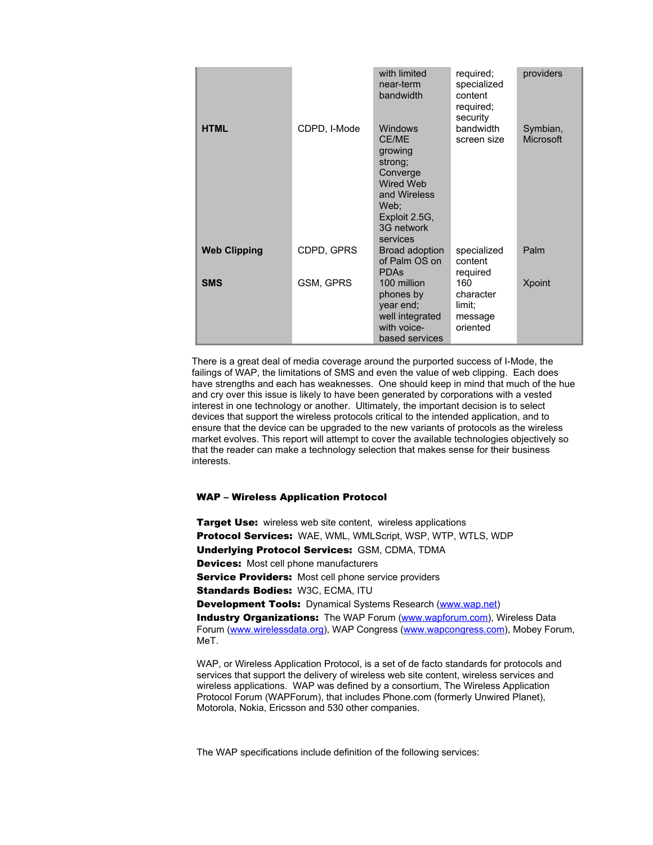|                     |              | with limited<br>near-term<br>bandwidth                                                                                                           | required;<br>specialized<br>content<br>required;<br>security | providers             |
|---------------------|--------------|--------------------------------------------------------------------------------------------------------------------------------------------------|--------------------------------------------------------------|-----------------------|
| <b>HTML</b>         | CDPD, I-Mode | <b>Windows</b><br><b>CE/ME</b><br>growing<br>strong;<br>Converge<br>Wired Web<br>and Wireless<br>Web;<br>Exploit 2.5G,<br>3G network<br>services | bandwidth<br>screen size                                     | Symbian,<br>Microsoft |
| <b>Web Clipping</b> | CDPD, GPRS   | <b>Broad adoption</b><br>of Palm OS on<br><b>PDAS</b>                                                                                            | specialized<br>content<br>required                           | Palm                  |
| <b>SMS</b>          | GSM, GPRS    | 100 million<br>phones by<br>year end;<br>well integrated<br>with voice-<br>based services                                                        | 160<br>character<br>limit:<br>message<br>oriented            | Xpoint                |

There is a great deal of media coverage around the purported success of I-Mode, the failings of WAP, the limitations of SMS and even the value of web clipping. Each does have strengths and each has weaknesses. One should keep in mind that much of the hue and cry over this issue is likely to have been generated by corporations with a vested interest in one technology or another. Ultimately, the important decision is to select devices that support the wireless protocols critical to the intended application, and to ensure that the device can be upgraded to the new variants of protocols as the wireless market evolves. This report will attempt to cover the available technologies objectively so that the reader can make a technology selection that makes sense for their business interests.

#### WAP – Wireless Application Protocol

Target Use: wireless web site content, wireless applications Protocol Services: WAE, WML, WMLScript, WSP, WTP, WTLS, WDP Underlying Protocol Services: GSM, CDMA, TDMA Devices: Most cell phone manufacturers **Service Providers:** Most cell phone service providers Standards Bodies: W3C, ECMA, ITU Development Tools: Dynamical Systems Research ([www.wap.net](http://www.wap.net/)) **Industry Organizations:** The WAP Forum ([www.wapforum.com\)](http://www.wapforum.com/), Wireless Data Forum ([www.wirelessdata.org\)](http://www.wirelessdata.org/), WAP Congress ([www.wapcongress.com](http://www.wapcongress.com/)), Mobey Forum, MeT.

WAP, or Wireless Application Protocol, is a set of de facto standards for protocols and services that support the delivery of wireless web site content, wireless services and wireless applications. WAP was defined by a consortium, The Wireless Application Protocol Forum (WAPForum), that includes Phone.com (formerly Unwired Planet), Motorola, Nokia, Ericsson and 530 other companies.

The WAP specifications include definition of the following services: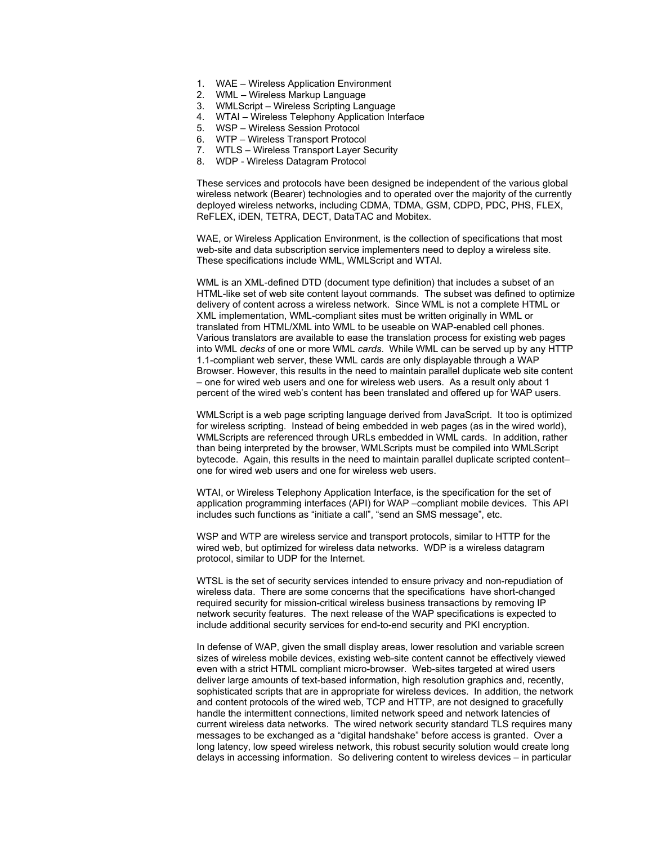- 1. WAE Wireless Application Environment
- 2. WML Wireless Markup Language
- 3. WMLScript Wireless Scripting Language
- 4. WTAI Wireless Telephony Application Interface
- 5. WSP Wireless Session Protocol
- 6. WTP Wireless Transport Protocol
- 7. WTLS Wireless Transport Layer Security
- 8. WDP Wireless Datagram Protocol

These services and protocols have been designed be independent of the various global wireless network (Bearer) technologies and to operated over the majority of the currently deployed wireless networks, including CDMA, TDMA, GSM, CDPD, PDC, PHS, FLEX, ReFLEX, iDEN, TETRA, DECT, DataTAC and Mobitex.

WAE, or Wireless Application Environment, is the collection of specifications that most web-site and data subscription service implementers need to deploy a wireless site. These specifications include WML, WMLScript and WTAI.

WML is an XML-defined DTD (document type definition) that includes a subset of an HTML-like set of web site content layout commands. The subset was defined to optimize delivery of content across a wireless network. Since WML is not a complete HTML or XML implementation, WML-compliant sites must be written originally in WML or translated from HTML/XML into WML to be useable on WAP-enabled cell phones. Various translators are available to ease the translation process for existing web pages into WML *decks* of one or more WML *cards*. While WML can be served up by any HTTP 1.1-compliant web server, these WML cards are only displayable through a WAP Browser. However, this results in the need to maintain parallel duplicate web site content – one for wired web users and one for wireless web users. As a result only about 1 percent of the wired web's content has been translated and offered up for WAP users.

WMLScript is a web page scripting language derived from JavaScript. It too is optimized for wireless scripting. Instead of being embedded in web pages (as in the wired world), WMLScripts are referenced through URLs embedded in WML cards. In addition, rather than being interpreted by the browser, WMLScripts must be compiled into WMLScript bytecode. Again, this results in the need to maintain parallel duplicate scripted content– one for wired web users and one for wireless web users.

WTAI, or Wireless Telephony Application Interface, is the specification for the set of application programming interfaces (API) for WAP –compliant mobile devices. This API includes such functions as "initiate a call", "send an SMS message", etc.

WSP and WTP are wireless service and transport protocols, similar to HTTP for the wired web, but optimized for wireless data networks. WDP is a wireless datagram protocol, similar to UDP for the Internet.

WTSL is the set of security services intended to ensure privacy and non-repudiation of wireless data. There are some concerns that the specifications have short-changed required security for mission-critical wireless business transactions by removing IP network security features. The next release of the WAP specifications is expected to include additional security services for end-to-end security and PKI encryption.

In defense of WAP, given the small display areas, lower resolution and variable screen sizes of wireless mobile devices, existing web-site content cannot be effectively viewed even with a strict HTML compliant micro-browser. Web-sites targeted at wired users deliver large amounts of text-based information, high resolution graphics and, recently, sophisticated scripts that are in appropriate for wireless devices. In addition, the network and content protocols of the wired web, TCP and HTTP, are not designed to gracefully handle the intermittent connections, limited network speed and network latencies of current wireless data networks. The wired network security standard TLS requires many messages to be exchanged as a "digital handshake" before access is granted. Over a long latency, low speed wireless network, this robust security solution would create long delays in accessing information. So delivering content to wireless devices – in particular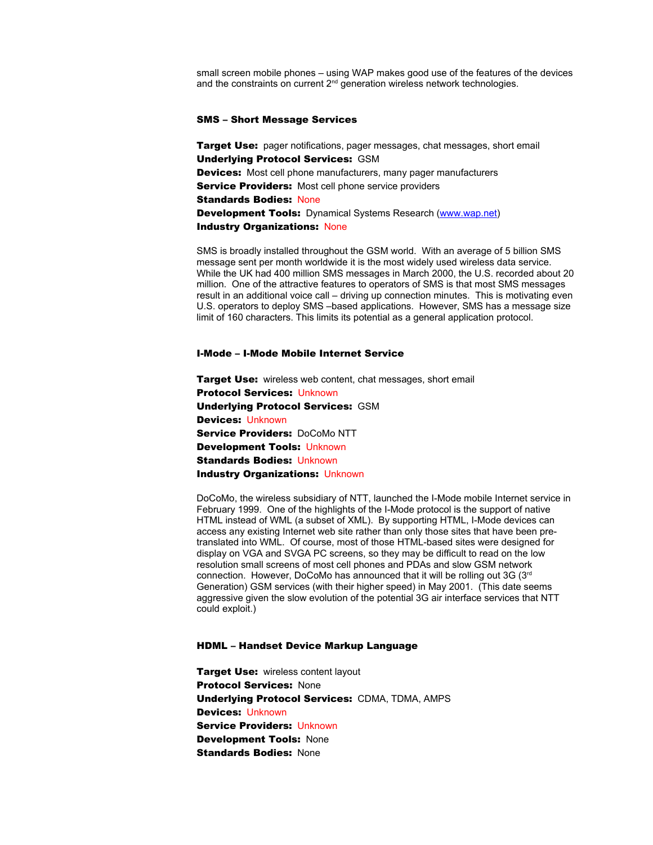small screen mobile phones – using WAP makes good use of the features of the devices and the constraints on current  $2<sup>nd</sup>$  generation wireless network technologies.

#### SMS – Short Message Services

Target Use: pager notifications, pager messages, chat messages, short email Underlying Protocol Services: GSM **Devices:** Most cell phone manufacturers, many pager manufacturers Service Providers: Most cell phone service providers Standards Bodies: None **Development Tools:** Dynamical Systems Research ([www.wap.net](http://www.wap.net/)) Industry Organizations: None

SMS is broadly installed throughout the GSM world. With an average of 5 billion SMS message sent per month worldwide it is the most widely used wireless data service. While the UK had 400 million SMS messages in March 2000, the U.S. recorded about 20 million. One of the attractive features to operators of SMS is that most SMS messages result in an additional voice call – driving up connection minutes. This is motivating even U.S. operators to deploy SMS –based applications. However, SMS has a message size limit of 160 characters. This limits its potential as a general application protocol.

#### I-Mode – I-Mode Mobile Internet Service

**Target Use:** wireless web content, chat messages, short email Protocol Services: Unknown Underlying Protocol Services: GSM Devices: Unknown Service Providers: DoCoMo NTT Development Tools: Unknown Standards Bodies: Unknown Industry Organizations: Unknown

DoCoMo, the wireless subsidiary of NTT, launched the I-Mode mobile Internet service in February 1999. One of the highlights of the I-Mode protocol is the support of native HTML instead of WML (a subset of XML). By supporting HTML, I-Mode devices can access any existing Internet web site rather than only those sites that have been pretranslated into WML. Of course, most of those HTML-based sites were designed for display on VGA and SVGA PC screens, so they may be difficult to read on the low resolution small screens of most cell phones and PDAs and slow GSM network connection. However, DoCoMo has announced that it will be rolling out 3G (3rd Generation) GSM services (with their higher speed) in May 2001. (This date seems aggressive given the slow evolution of the potential 3G air interface services that NTT could exploit.)

#### HDML – Handset Device Markup Language

**Target Use: wireless content layout** Protocol Services: None Underlying Protocol Services: CDMA, TDMA, AMPS Devices: Unknown Service Providers: Unknown Development Tools: None **Standards Bodies: None**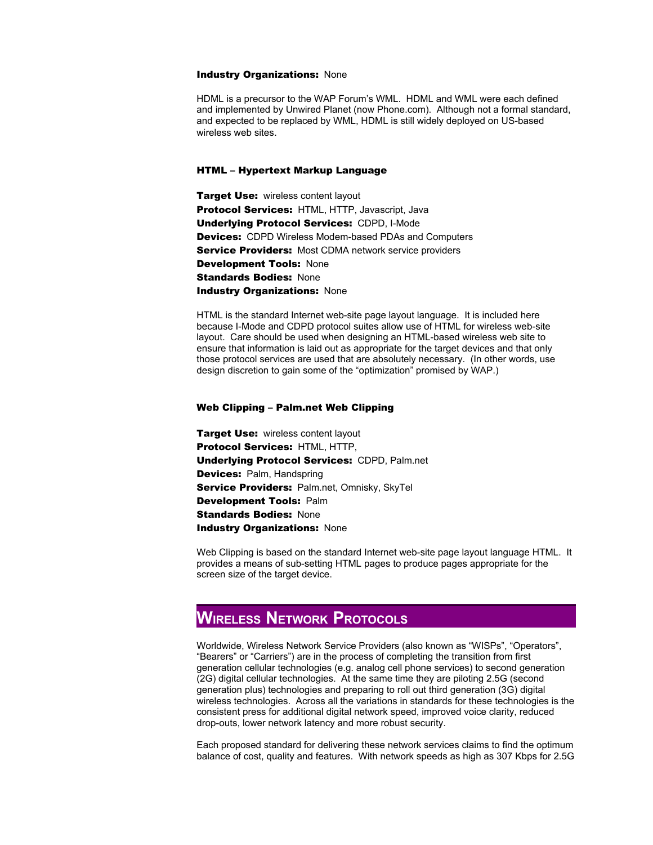#### Industry Organizations: None

HDML is a precursor to the WAP Forum's WML. HDML and WML were each defined and implemented by Unwired Planet (now Phone.com). Although not a formal standard, and expected to be replaced by WML, HDML is still widely deployed on US-based wireless web sites.

#### HTML – Hypertext Markup Language

**Target Use: wireless content layout** Protocol Services: HTML, HTTP, Javascript, Java Underlying Protocol Services: CDPD, I-Mode **Devices:** CDPD Wireless Modem-based PDAs and Computers **Service Providers:** Most CDMA network service providers Development Tools: None **Standards Bodies: None** Industry Organizations: None

HTML is the standard Internet web-site page layout language. It is included here because I-Mode and CDPD protocol suites allow use of HTML for wireless web-site layout. Care should be used when designing an HTML-based wireless web site to ensure that information is laid out as appropriate for the target devices and that only those protocol services are used that are absolutely necessary. (In other words, use design discretion to gain some of the "optimization" promised by WAP.)

#### Web Clipping – Palm.net Web Clipping

Target Use: wireless content layout Protocol Services: HTML, HTTP, Underlying Protocol Services: CDPD, Palm.net Devices: Palm, Handspring Service Providers: Palm.net, Omnisky, SkyTel Development Tools: Palm **Standards Bodies: None** Industry Organizations: None

Web Clipping is based on the standard Internet web-site page layout language HTML. It provides a means of sub-setting HTML pages to produce pages appropriate for the screen size of the target device.

## **WIRELESS NETWORK PROTOCOLS**

Worldwide, Wireless Network Service Providers (also known as "WISPs", "Operators", "Bearers" or "Carriers") are in the process of completing the transition from first generation cellular technologies (e.g. analog cell phone services) to second generation (2G) digital cellular technologies. At the same time they are piloting 2.5G (second generation plus) technologies and preparing to roll out third generation (3G) digital wireless technologies. Across all the variations in standards for these technologies is the consistent press for additional digital network speed, improved voice clarity, reduced drop-outs, lower network latency and more robust security.

Each proposed standard for delivering these network services claims to find the optimum balance of cost, quality and features. With network speeds as high as 307 Kbps for 2.5G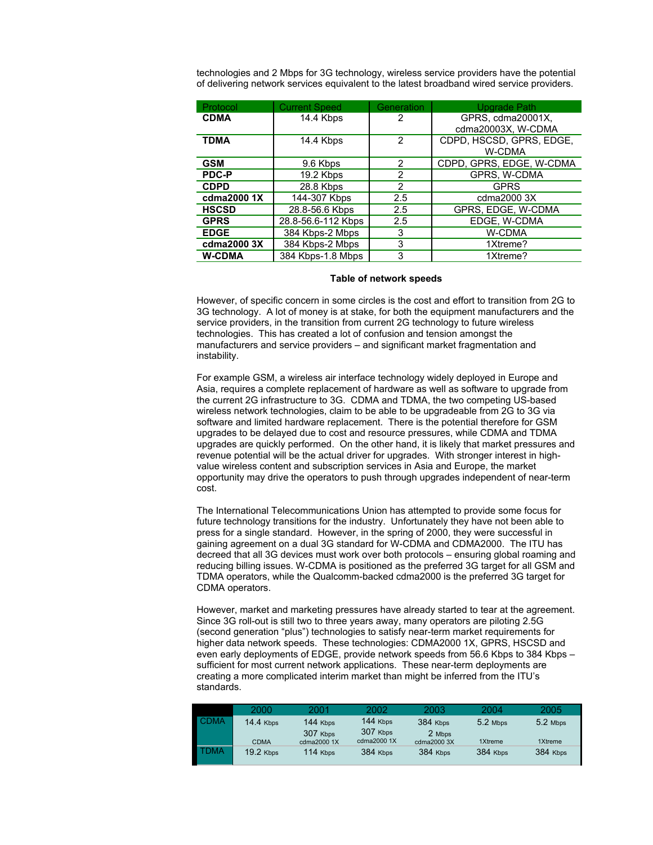technologies and 2 Mbps for 3G technology, wireless service providers have the potential of delivering network services equivalent to the latest broadband wired service providers.

| Protocol      | <b>Current Speed</b> | Generation     | <b>Upgrade Path</b>                       |
|---------------|----------------------|----------------|-------------------------------------------|
| <b>CDMA</b>   | 14.4 Kbps            | 2              | GPRS, cdma20001X,<br>cdma20003X, W-CDMA   |
| <b>TDMA</b>   | 14.4 Kbps            | 2              | CDPD, HSCSD, GPRS, EDGE,<br><b>W-CDMA</b> |
| <b>GSM</b>    | 9.6 Kbps             | $\overline{2}$ | CDPD, GPRS, EDGE, W-CDMA                  |
| <b>PDC-P</b>  | 19.2 Kbps            | 2              | GPRS, W-CDMA                              |
| <b>CDPD</b>   | 28.8 Kbps            | $\mathbf{2}$   | <b>GPRS</b>                               |
| cdma2000 1X   | 144-307 Kbps         | 2.5            | cdma2000 3X                               |
| <b>HSCSD</b>  | 28.8-56.6 Kbps       | 2.5            | GPRS. EDGE. W-CDMA                        |
| <b>GPRS</b>   | 28.8-56.6-112 Kbps   | 2.5            | EDGE, W-CDMA                              |
| <b>EDGE</b>   | 384 Kbps-2 Mbps      | 3              | <b>W-CDMA</b>                             |
| cdma2000 3X   | 384 Kbps-2 Mbps      | 3              | 1Xtreme?                                  |
| <b>W-CDMA</b> | 384 Kbps-1.8 Mbps    | 3              | 1Xtreme?                                  |

#### **Table of network speeds**

However, of specific concern in some circles is the cost and effort to transition from 2G to 3G technology. A lot of money is at stake, for both the equipment manufacturers and the service providers, in the transition from current 2G technology to future wireless technologies. This has created a lot of confusion and tension amongst the manufacturers and service providers – and significant market fragmentation and instability.

For example GSM, a wireless air interface technology widely deployed in Europe and Asia, requires a complete replacement of hardware as well as software to upgrade from the current 2G infrastructure to 3G. CDMA and TDMA, the two competing US-based wireless network technologies, claim to be able to be upgradeable from 2G to 3G via software and limited hardware replacement. There is the potential therefore for GSM upgrades to be delayed due to cost and resource pressures, while CDMA and TDMA upgrades are quickly performed. On the other hand, it is likely that market pressures and revenue potential will be the actual driver for upgrades. With stronger interest in highvalue wireless content and subscription services in Asia and Europe, the market opportunity may drive the operators to push through upgrades independent of near-term cost.

The International Telecommunications Union has attempted to provide some focus for future technology transitions for the industry. Unfortunately they have not been able to press for a single standard. However, in the spring of 2000, they were successful in gaining agreement on a dual 3G standard for W-CDMA and CDMA2000. The ITU has decreed that all 3G devices must work over both protocols – ensuring global roaming and reducing billing issues. W-CDMA is positioned as the preferred 3G target for all GSM and TDMA operators, while the Qualcomm-backed cdma2000 is the preferred 3G target for CDMA operators.

However, market and marketing pressures have already started to tear at the agreement. Since 3G roll-out is still two to three years away, many operators are piloting 2.5G (second generation "plus") technologies to satisfy near-term market requirements for higher data network speeds. These technologies: CDMA2000 1X, GPRS, HSCSD and even early deployments of EDGE, provide network speeds from 56.6 Kbps to 384 Kbps – sufficient for most current network applications. These near-term deployments are creating a more complicated interim market than might be inferred from the ITU's standards.

|             | 2000             | 2001        | 2002        | 2003        | 2004       | 2005     |
|-------------|------------------|-------------|-------------|-------------|------------|----------|
| <b>CDMA</b> | <b>14.4 Kbps</b> | 144 Kbps    | 144 Kbps    | 384 Kbps    | $5.2$ Mbps | 5.2 Mbps |
|             |                  | 307 Kbps    | 307 Kbps    | 2 Mbps      |            |          |
|             | <b>CDMA</b>      | cdma2000 1X | cdma2000 1X | cdma2000 3X | 1Xtreme    | 1Xtreme  |
| <b>FDMA</b> | <b>19.2 Kbps</b> | 114 Kbps    | 384 Kbps    | 384 Kbps    | 384 Kbps   | 384 Kbps |
|             |                  |             |             |             |            |          |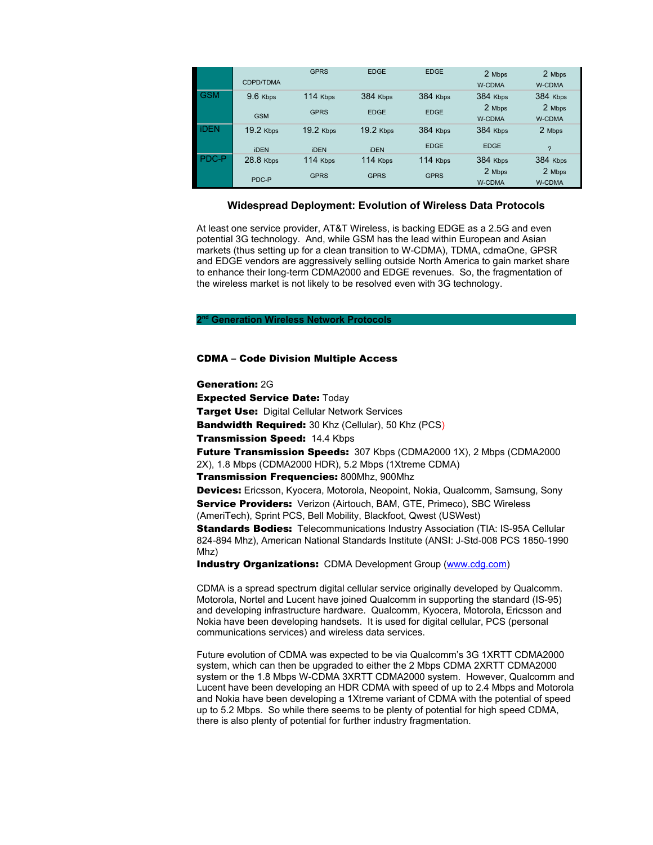|            | CDPD/TDMA        | <b>GPRS</b> | <b>EDGE</b>      | <b>EDGE</b> | 2 Mbps<br><b>W-CDMA</b> | 2 Mbps<br><b>W-CDMA</b> |
|------------|------------------|-------------|------------------|-------------|-------------------------|-------------------------|
| <b>GSM</b> | $9.6$ Kbps       | 114 Kbps    | 384 Kbps         | 384 Kbps    | 384 Kbps<br>2 Mbps      | 384 Kbps<br>2 Mbps      |
|            | <b>GSM</b>       | <b>GPRS</b> | <b>EDGE</b>      | <b>EDGE</b> | <b>W-CDMA</b>           | <b>W-CDMA</b>           |
| <b>DEN</b> | <b>19.2 Kbps</b> | $19.2$ Kbps | <b>19.2 Kbps</b> | 384 Kbps    | 384 Kbps                | 2 Mbps                  |
|            | <b>iDEN</b>      | <b>iDEN</b> | <b>iDEN</b>      | <b>EDGE</b> | <b>EDGE</b>             | $\mathcal{P}$           |
| PDC-P      | 28.8 Kbps        | 114 Kbps    | 114 Kbps         | 114 Kbps    | 384 Kbps                | 384 Kbps                |
|            | PDC-P            | <b>GPRS</b> | <b>GPRS</b>      | <b>GPRS</b> | 2 Mbps                  | 2 Mbps                  |
|            |                  |             |                  |             | <b>W-CDMA</b>           | <b>W-CDMA</b>           |

#### **Widespread Deployment: Evolution of Wireless Data Protocols**

At least one service provider, AT&T Wireless, is backing EDGE as a 2.5G and even potential 3G technology. And, while GSM has the lead within European and Asian markets (thus setting up for a clean transition to W-CDMA), TDMA, cdmaOne, GPSR and EDGE vendors are aggressively selling outside North America to gain market share to enhance their long-term CDMA2000 and EDGE revenues. So, the fragmentation of the wireless market is not likely to be resolved even with 3G technology.

#### **2 nd Generation Wireless Network Protocols**

#### CDMA – Code Division Multiple Access

Generation: 2G Expected Service Date: Today **Target Use: Digital Cellular Network Services** Bandwidth Required: 30 Khz (Cellular), 50 Khz (PCS) **Transmission Speed: 14.4 Kbps** Future Transmission Speeds: 307 Kbps (CDMA2000 1X), 2 Mbps (CDMA2000 2X), 1.8 Mbps (CDMA2000 HDR), 5.2 Mbps (1Xtreme CDMA) Transmission Frequencies: 800Mhz, 900Mhz Devices: Ericsson, Kyocera, Motorola, Neopoint, Nokia, Qualcomm, Samsung, Sony Service Providers: Verizon (Airtouch, BAM, GTE, Primeco), SBC Wireless (AmeriTech), Sprint PCS, Bell Mobility, Blackfoot, Qwest (USWest) Standards Bodies: Telecommunications Industry Association (TIA: IS-95A Cellular 824-894 Mhz), American National Standards Institute (ANSI: J-Std-008 PCS 1850-1990 Mhz)

**Industry Organizations: CDMA Development Group [\(www.cdg.com](http://www.cdg.com/))** 

CDMA is a spread spectrum digital cellular service originally developed by Qualcomm. Motorola, Nortel and Lucent have joined Qualcomm in supporting the standard (IS-95) and developing infrastructure hardware. Qualcomm, Kyocera, Motorola, Ericsson and Nokia have been developing handsets. It is used for digital cellular, PCS (personal communications services) and wireless data services.

Future evolution of CDMA was expected to be via Qualcomm's 3G 1XRTT CDMA2000 system, which can then be upgraded to either the 2 Mbps CDMA 2XRTT CDMA2000 system or the 1.8 Mbps W-CDMA 3XRTT CDMA2000 system. However, Qualcomm and Lucent have been developing an HDR CDMA with speed of up to 2.4 Mbps and Motorola and Nokia have been developing a 1Xtreme variant of CDMA with the potential of speed up to 5.2 Mbps. So while there seems to be plenty of potential for high speed CDMA, there is also plenty of potential for further industry fragmentation.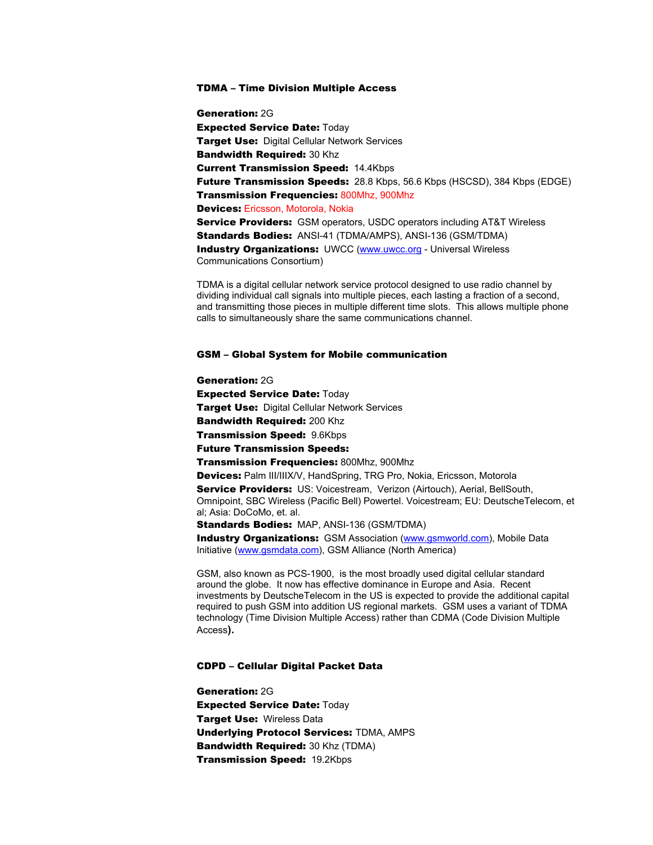#### TDMA – Time Division Multiple Access

Generation: 2G Expected Service Date: Today **Target Use: Digital Cellular Network Services** Bandwidth Required: 30 Khz Current Transmission Speed: 14.4Kbps Future Transmission Speeds: 28.8 Kbps, 56.6 Kbps (HSCSD), 384 Kbps (EDGE) Transmission Frequencies: 800Mhz, 900Mhz Devices: Ericsson, Motorola, Nokia **Service Providers:** GSM operators, USDC operators including AT&T Wireless Standards Bodies: ANSI-41 (TDMA/AMPS), ANSI-136 (GSM/TDMA) **Industry Organizations:** UWCC ([www.uwcc.org](http://www.uwcc.org/) - Universal Wireless Communications Consortium)

TDMA is a digital cellular network service protocol designed to use radio channel by dividing individual call signals into multiple pieces, each lasting a fraction of a second, and transmitting those pieces in multiple different time slots. This allows multiple phone calls to simultaneously share the same communications channel.

#### GSM – Global System for Mobile communication

#### Generation: 2G

Expected Service Date: Today **Target Use: Digital Cellular Network Services** Bandwidth Required: 200 Khz Transmission Speed: 9.6Kbps Future Transmission Speeds:

Transmission Frequencies: 800Mhz, 900Mhz

Devices: Palm III/IIIX/V, HandSpring, TRG Pro, Nokia, Ericsson, Motorola Service Providers: US: Voicestream, Verizon (Airtouch), Aerial, BellSouth, Omnipoint, SBC Wireless (Pacific Bell) Powertel. Voicestream; EU: DeutscheTelecom, et al; Asia: DoCoMo, et. al.

Standards Bodies: MAP, ANSI-136 (GSM/TDMA)

**Industry Organizations:** GSM Association ([www.gsmworld.com\)](http://www.gsmworld.com/), Mobile Data Initiative [\(www.gsmdata.com](http://www.gsmdata.com/)), GSM Alliance (North America)

GSM, also known as PCS-1900, is the most broadly used digital cellular standard around the globe. It now has effective dominance in Europe and Asia. Recent investments by DeutscheTelecom in the US is expected to provide the additional capital required to push GSM into addition US regional markets. GSM uses a variant of TDMA technology (Time Division Multiple Access) rather than CDMA (Code Division Multiple Access**).**

#### CDPD – Cellular Digital Packet Data

Generation: 2G Expected Service Date: Today Target Use: Wireless Data Underlying Protocol Services: TDMA, AMPS Bandwidth Required: 30 Khz (TDMA) Transmission Speed: 19.2Kbps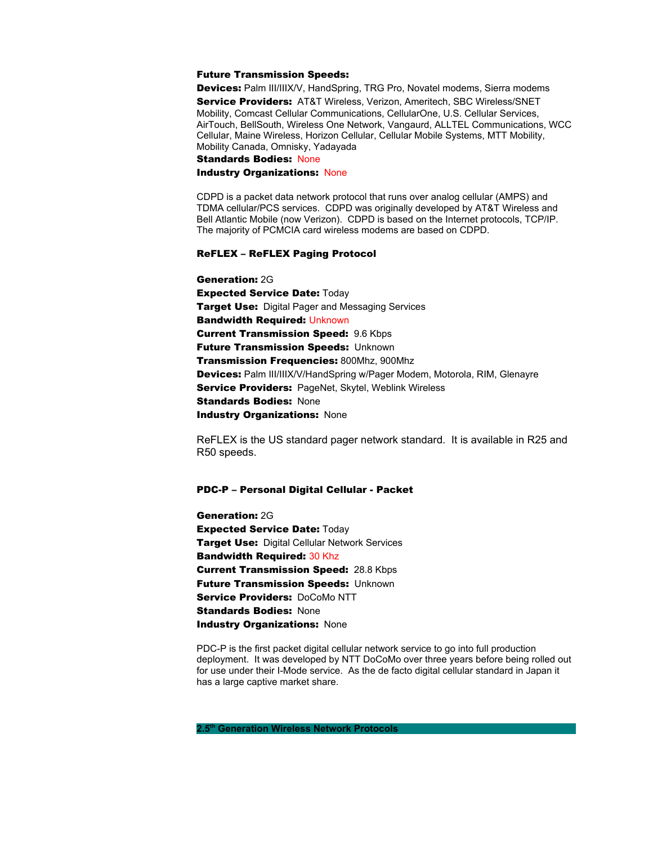#### Future Transmission Speeds:

Devices: Palm III/IIIX/V, HandSpring, TRG Pro, Novatel modems, Sierra modems Service Providers: AT&T Wireless, Verizon, Ameritech, SBC Wireless/SNET Mobility, Comcast Cellular Communications, CellularOne, U.S. Cellular Services, AirTouch, BellSouth, Wireless One Network, Vangaurd, ALLTEL Communications, WCC Cellular, Maine Wireless, Horizon Cellular, Cellular Mobile Systems, MTT Mobility, Mobility Canada, Omnisky, Yadayada

Standards Bodies: None

#### Industry Organizations: None

CDPD is a packet data network protocol that runs over analog cellular (AMPS) and TDMA cellular/PCS services. CDPD was originally developed by AT&T Wireless and Bell Atlantic Mobile (now Verizon). CDPD is based on the Internet protocols, TCP/IP. The majority of PCMCIA card wireless modems are based on CDPD.

#### ReFLEX – ReFLEX Paging Protocol

Generation: 2G Expected Service Date: Today **Target Use:** Digital Pager and Messaging Services **Bandwidth Required: Unknown** Current Transmission Speed: 9.6 Kbps **Future Transmission Speeds: Unknown** Transmission Frequencies: 800Mhz, 900Mhz Devices: Palm III/IIIX/V/HandSpring w/Pager Modem, Motorola, RIM, Glenayre Service Providers: PageNet, Skytel, Weblink Wireless Standards Bodies: None Industry Organizations: None

ReFLEX is the US standard pager network standard. It is available in R25 and R50 speeds.

#### PDC-P – Personal Digital Cellular - Packet

Generation: 2G Expected Service Date: Today **Target Use: Digital Cellular Network Services Bandwidth Required: 30 Khz** Current Transmission Speed: 28.8 Kbps Future Transmission Speeds: Unknown Service Providers: DoCoMo NTT **Standards Bodies: None Industry Organizations: None** 

PDC-P is the first packet digital cellular network service to go into full production deployment. It was developed by NTT DoCoMo over three years before being rolled out for use under their I-Mode service. As the de facto digital cellular standard in Japan it has a large captive market share.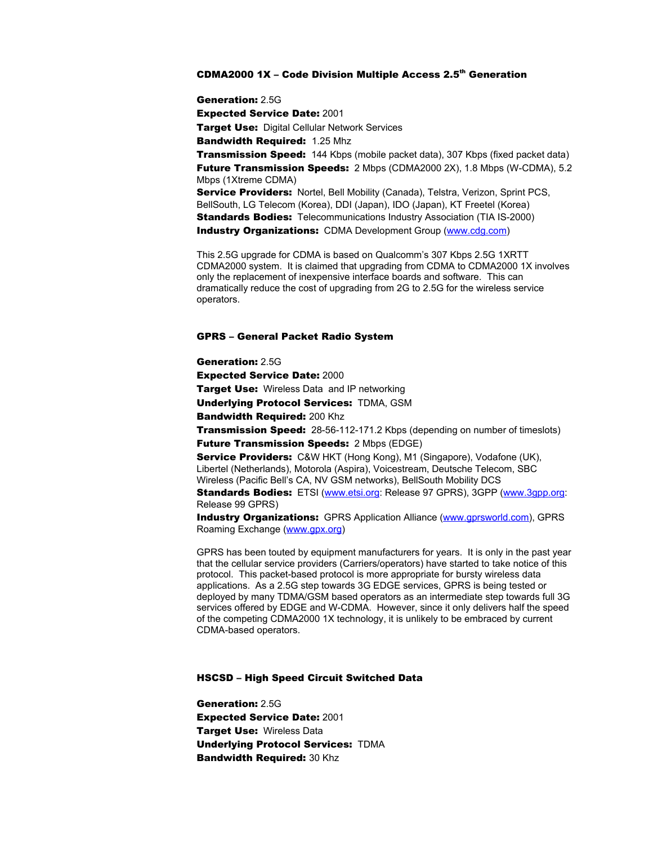#### $\tt CDMA2000$  1X – Code Division Multiple Access 2.5<sup>th</sup> Generation

Generation: 2.5G Expected Service Date: 2001 **Target Use: Digital Cellular Network Services** Bandwidth Required: 1.25 Mhz **Transmission Speed:** 144 Kbps (mobile packet data), 307 Kbps (fixed packet data) **Future Transmission Speeds:** 2 Mbps (CDMA2000 2X), 1.8 Mbps (W-CDMA), 5.2 Mbps (1Xtreme CDMA) Service Providers: Nortel, Bell Mobility (Canada), Telstra, Verizon, Sprint PCS, BellSouth, LG Telecom (Korea), DDI (Japan), IDO (Japan), KT Freetel (Korea) **Standards Bodies:** Telecommunications Industry Association (TIA IS-2000)

Industry Organizations: CDMA Development Group [\(www.cdg.com](http://www.cdg.com/))

This 2.5G upgrade for CDMA is based on Qualcomm's 307 Kbps 2.5G 1XRTT CDMA2000 system. It is claimed that upgrading from CDMA to CDMA2000 1X involves only the replacement of inexpensive interface boards and software. This can dramatically reduce the cost of upgrading from 2G to 2.5G for the wireless service operators.

#### GPRS – General Packet Radio System

Generation: 2.5G Expected Service Date: 2000 **Target Use:** Wireless Data and IP networking Underlying Protocol Services: TDMA, GSM Bandwidth Required: 200 Khz **Transmission Speed:** 28-56-112-171.2 Kbps (depending on number of timeslots) **Future Transmission Speeds: 2 Mbps (EDGE)** Service Providers: C&W HKT (Hong Kong), M1 (Singapore), Vodafone (UK), Libertel (Netherlands), Motorola (Aspira), Voicestream, Deutsche Telecom, SBC Wireless (Pacific Bell's CA, NV GSM networks), BellSouth Mobility DCS

**Standards Bodies:** ETSI [\(www.etsi.org](http://www.etsi.org/): Release 97 GPRS), 3GPP [\(www.3gpp.org:](http://www.3gpp.org/) Release 99 GPRS)

**Industry Organizations:** GPRS Application Alliance ([www.gprsworld.com](http://www.gprsworld.com/)), GPRS Roaming Exchange ([www.gpx.org\)](http://www.gpx.org/)

GPRS has been touted by equipment manufacturers for years. It is only in the past year that the cellular service providers (Carriers/operators) have started to take notice of this protocol. This packet-based protocol is more appropriate for bursty wireless data applications. As a 2.5G step towards 3G EDGE services, GPRS is being tested or deployed by many TDMA/GSM based operators as an intermediate step towards full 3G services offered by EDGE and W-CDMA. However, since it only delivers half the speed of the competing CDMA2000 1X technology, it is unlikely to be embraced by current CDMA-based operators.

#### HSCSD – High Speed Circuit Switched Data

Generation: 2.5G Expected Service Date: 2001 **Target Use: Wireless Data** Underlying Protocol Services: TDMA **Bandwidth Required: 30 Khz**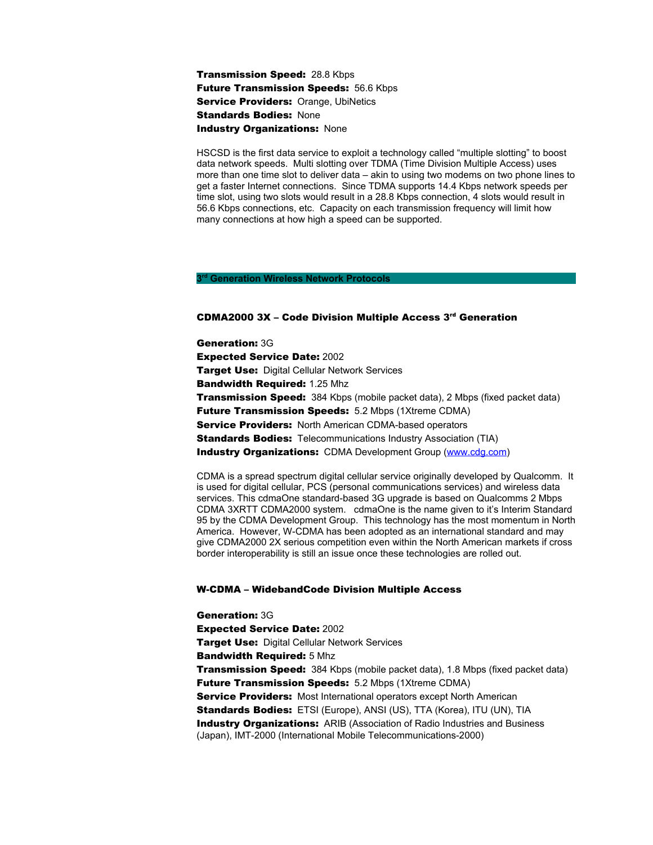### Transmission Speed: 28.8 Kbps Future Transmission Speeds: 56.6 Kbps Service Providers: Orange, UbiNetics **Standards Bodies: None** Industry Organizations: None

HSCSD is the first data service to exploit a technology called "multiple slotting" to boost data network speeds. Multi slotting over TDMA (Time Division Multiple Access) uses more than one time slot to deliver data – akin to using two modems on two phone lines to get a faster Internet connections. Since TDMA supports 14.4 Kbps network speeds per time slot, using two slots would result in a 28.8 Kbps connection, 4 slots would result in 56.6 Kbps connections, etc. Capacity on each transmission frequency will limit how many connections at how high a speed can be supported.

#### **3 rd Generation Wireless Network Protocols**

#### CDMA2000 3X – Code Division Multiple Access 3<sup>rd</sup> Generation

Generation: 3G Expected Service Date: 2002 **Target Use: Digital Cellular Network Services** Bandwidth Required: 1.25 Mhz **Transmission Speed:** 384 Kbps (mobile packet data), 2 Mbps (fixed packet data) Future Transmission Speeds: 5.2 Mbps (1Xtreme CDMA) **Service Providers:** North American CDMA-based operators **Standards Bodies:** Telecommunications Industry Association (TIA) **Industry Organizations:** CDMA Development Group [\(www.cdg.com](http://www.cdg.com/))

CDMA is a spread spectrum digital cellular service originally developed by Qualcomm. It is used for digital cellular, PCS (personal communications services) and wireless data services. This cdmaOne standard-based 3G upgrade is based on Qualcomms 2 Mbps CDMA 3XRTT CDMA2000 system. cdmaOne is the name given to it's Interim Standard 95 by the CDMA Development Group. This technology has the most momentum in North America. However, W-CDMA has been adopted as an international standard and may give CDMA2000 2X serious competition even within the North American markets if cross border interoperability is still an issue once these technologies are rolled out.

#### W-CDMA – WidebandCode Division Multiple Access

Generation: 3G Expected Service Date: 2002 **Target Use: Digital Cellular Network Services** Bandwidth Required: 5 Mhz **Transmission Speed:** 384 Kbps (mobile packet data), 1.8 Mbps (fixed packet data) Future Transmission Speeds: 5.2 Mbps (1Xtreme CDMA) **Service Providers:** Most International operators except North American Standards Bodies: ETSI (Europe), ANSI (US), TTA (Korea), ITU (UN), TIA **Industry Organizations:** ARIB (Association of Radio Industries and Business (Japan), IMT-2000 (International Mobile Telecommunications-2000)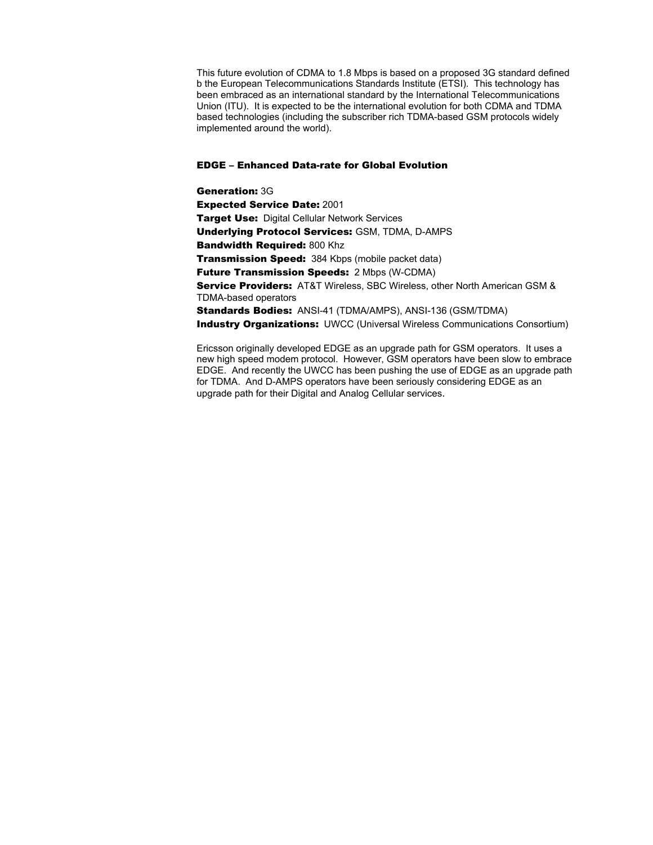This future evolution of CDMA to 1.8 Mbps is based on a proposed 3G standard defined b the European Telecommunications Standards Institute (ETSI). This technology has been embraced as an international standard by the International Telecommunications Union (ITU). It is expected to be the international evolution for both CDMA and TDMA based technologies (including the subscriber rich TDMA-based GSM protocols widely implemented around the world).

#### EDGE – Enhanced Data-rate for Global Evolution

Generation: 3G Expected Service Date: 2001 **Target Use: Digital Cellular Network Services** Underlying Protocol Services: GSM, TDMA, D-AMPS Bandwidth Required: 800 Khz **Transmission Speed:** 384 Kbps (mobile packet data) Future Transmission Speeds: 2 Mbps (W-CDMA) Service Providers: AT&T Wireless, SBC Wireless, other North American GSM & TDMA-based operators Standards Bodies: ANSI-41 (TDMA/AMPS), ANSI-136 (GSM/TDMA) **Industry Organizations:** UWCC (Universal Wireless Communications Consortium)

Ericsson originally developed EDGE as an upgrade path for GSM operators. It uses a new high speed modem protocol. However, GSM operators have been slow to embrace EDGE. And recently the UWCC has been pushing the use of EDGE as an upgrade path for TDMA. And D-AMPS operators have been seriously considering EDGE as an upgrade path for their Digital and Analog Cellular services.